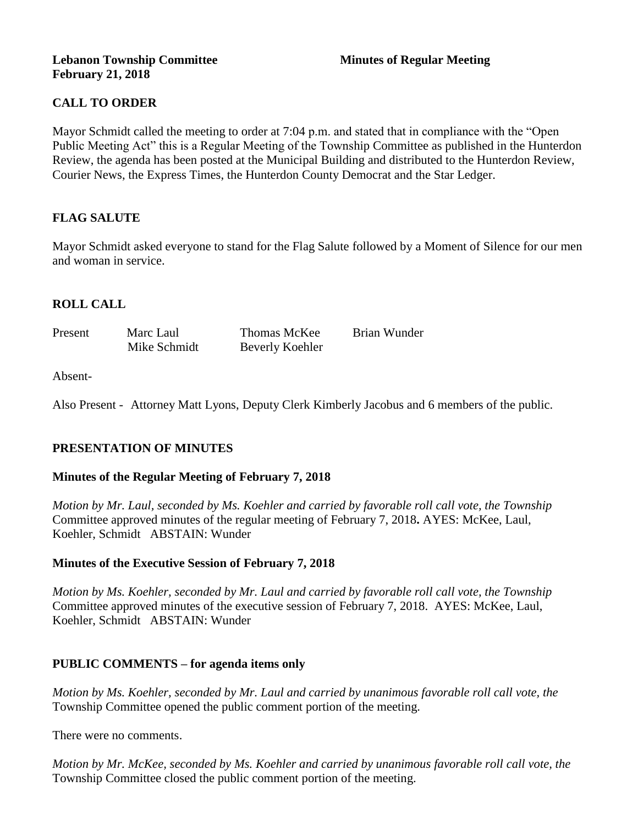### **Lebanon Township Committee 3 2008 Minutes of Regular Meeting February 21, 2018**

# **CALL TO ORDER**

Mayor Schmidt called the meeting to order at 7:04 p.m. and stated that in compliance with the "Open Public Meeting Act" this is a Regular Meeting of the Township Committee as published in the Hunterdon Review, the agenda has been posted at the Municipal Building and distributed to the Hunterdon Review, Courier News, the Express Times, the Hunterdon County Democrat and the Star Ledger.

# **FLAG SALUTE**

Mayor Schmidt asked everyone to stand for the Flag Salute followed by a Moment of Silence for our men and woman in service.

# **ROLL CALL**

| Present | Marc Laul    | <b>Thomas McKee</b> | Brian Wunder |
|---------|--------------|---------------------|--------------|
|         | Mike Schmidt | Beverly Koehler     |              |

#### Absent-

Also Present - Attorney Matt Lyons, Deputy Clerk Kimberly Jacobus and 6 members of the public.

# **PRESENTATION OF MINUTES**

#### **Minutes of the Regular Meeting of February 7, 2018**

*Motion by Mr. Laul, seconded by Ms. Koehler and carried by favorable roll call vote, the Township* Committee approved minutes of the regular meeting of February 7, 2018**.** AYES: McKee, Laul, Koehler, Schmidt ABSTAIN: Wunder

#### **Minutes of the Executive Session of February 7, 2018**

*Motion by Ms. Koehler, seconded by Mr. Laul and carried by favorable roll call vote, the Township* Committee approved minutes of the executive session of February 7, 2018. AYES: McKee, Laul, Koehler, Schmidt ABSTAIN: Wunder

#### **PUBLIC COMMENTS – for agenda items only**

*Motion by Ms. Koehler, seconded by Mr. Laul and carried by unanimous favorable roll call vote, the*  Township Committee opened the public comment portion of the meeting.

There were no comments.

*Motion by Mr. McKee, seconded by Ms. Koehler and carried by unanimous favorable roll call vote, the*  Township Committee closed the public comment portion of the meeting.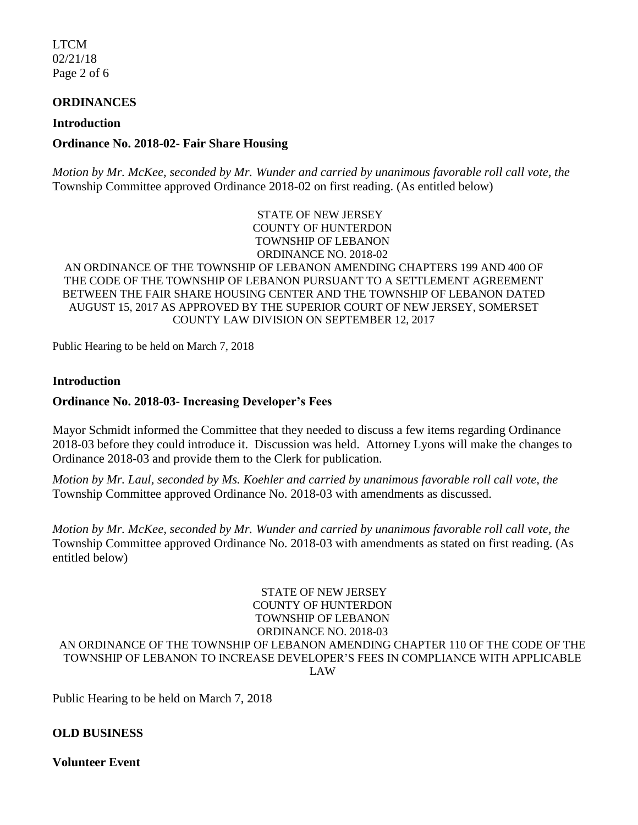LTCM 02/21/18 Page 2 of 6

### **ORDINANCES**

#### **Introduction**

### **Ordinance No. 2018-02- Fair Share Housing**

*Motion by Mr. McKee, seconded by Mr. Wunder and carried by unanimous favorable roll call vote, the*  Township Committee approved Ordinance 2018-02 on first reading. (As entitled below)

> STATE OF NEW JERSEY COUNTY OF HUNTERDON TOWNSHIP OF LEBANON ORDINANCE NO. 2018-02

AN ORDINANCE OF THE TOWNSHIP OF LEBANON AMENDING CHAPTERS 199 AND 400 OF THE CODE OF THE TOWNSHIP OF LEBANON PURSUANT TO A SETTLEMENT AGREEMENT BETWEEN THE FAIR SHARE HOUSING CENTER AND THE TOWNSHIP OF LEBANON DATED AUGUST 15, 2017 AS APPROVED BY THE SUPERIOR COURT OF NEW JERSEY, SOMERSET COUNTY LAW DIVISION ON SEPTEMBER 12, 2017

Public Hearing to be held on March 7, 2018

#### **Introduction**

#### **Ordinance No. 2018-03- Increasing Developer's Fees**

Mayor Schmidt informed the Committee that they needed to discuss a few items regarding Ordinance 2018-03 before they could introduce it. Discussion was held. Attorney Lyons will make the changes to Ordinance 2018-03 and provide them to the Clerk for publication.

*Motion by Mr. Laul, seconded by Ms. Koehler and carried by unanimous favorable roll call vote, the*  Township Committee approved Ordinance No. 2018-03 with amendments as discussed.

*Motion by Mr. McKee, seconded by Mr. Wunder and carried by unanimous favorable roll call vote, the*  Township Committee approved Ordinance No. 2018-03 with amendments as stated on first reading. (As entitled below)

#### STATE OF NEW JERSEY COUNTY OF HUNTERDON TOWNSHIP OF LEBANON ORDINANCE NO. 2018-03 AN ORDINANCE OF THE TOWNSHIP OF LEBANON AMENDING CHAPTER 110 OF THE CODE OF THE TOWNSHIP OF LEBANON TO INCREASE DEVELOPER'S FEES IN COMPLIANCE WITH APPLICABLE LAW

Public Hearing to be held on March 7, 2018

#### **OLD BUSINESS**

**Volunteer Event**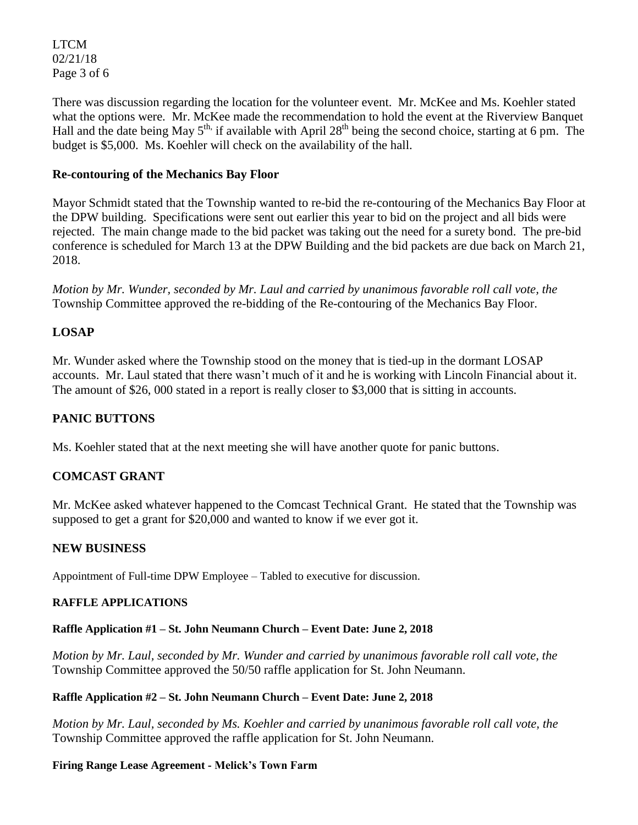LTCM 02/21/18 Page 3 of 6

There was discussion regarding the location for the volunteer event. Mr. McKee and Ms. Koehler stated what the options were. Mr. McKee made the recommendation to hold the event at the Riverview Banquet Hall and the date being May  $5<sup>th</sup>$ , if available with April 28<sup>th</sup> being the second choice, starting at 6 pm. The budget is \$5,000. Ms. Koehler will check on the availability of the hall.

# **Re-contouring of the Mechanics Bay Floor**

Mayor Schmidt stated that the Township wanted to re-bid the re-contouring of the Mechanics Bay Floor at the DPW building. Specifications were sent out earlier this year to bid on the project and all bids were rejected. The main change made to the bid packet was taking out the need for a surety bond. The pre-bid conference is scheduled for March 13 at the DPW Building and the bid packets are due back on March 21, 2018.

*Motion by Mr. Wunder, seconded by Mr. Laul and carried by unanimous favorable roll call vote, the*  Township Committee approved the re-bidding of the Re-contouring of the Mechanics Bay Floor.

# **LOSAP**

Mr. Wunder asked where the Township stood on the money that is tied-up in the dormant LOSAP accounts. Mr. Laul stated that there wasn't much of it and he is working with Lincoln Financial about it. The amount of \$26, 000 stated in a report is really closer to \$3,000 that is sitting in accounts.

# **PANIC BUTTONS**

Ms. Koehler stated that at the next meeting she will have another quote for panic buttons.

# **COMCAST GRANT**

Mr. McKee asked whatever happened to the Comcast Technical Grant. He stated that the Township was supposed to get a grant for \$20,000 and wanted to know if we ever got it.

#### **NEW BUSINESS**

Appointment of Full-time DPW Employee – Tabled to executive for discussion.

#### **RAFFLE APPLICATIONS**

#### **Raffle Application #1 – St. John Neumann Church – Event Date: June 2, 2018**

*Motion by Mr. Laul, seconded by Mr. Wunder and carried by unanimous favorable roll call vote, the*  Township Committee approved the 50/50 raffle application for St. John Neumann.

#### **Raffle Application #2 – St. John Neumann Church – Event Date: June 2, 2018**

*Motion by Mr. Laul, seconded by Ms. Koehler and carried by unanimous favorable roll call vote, the*  Township Committee approved the raffle application for St. John Neumann.

#### **Firing Range Lease Agreement - Melick's Town Farm**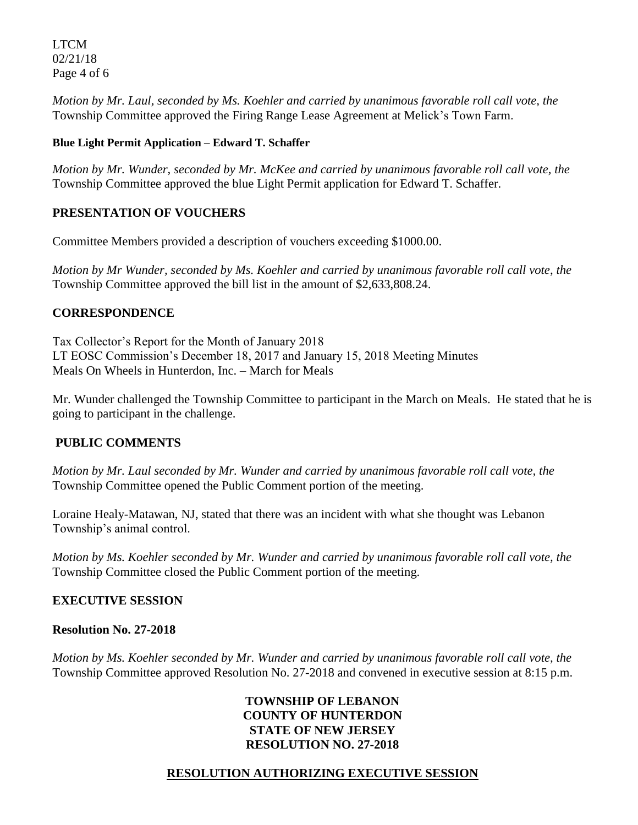LTCM 02/21/18 Page 4 of 6

*Motion by Mr. Laul, seconded by Ms. Koehler and carried by unanimous favorable roll call vote, the*  Township Committee approved the Firing Range Lease Agreement at Melick's Town Farm.

## **Blue Light Permit Application – Edward T. Schaffer**

*Motion by Mr. Wunder, seconded by Mr. McKee and carried by unanimous favorable roll call vote, the*  Township Committee approved the blue Light Permit application for Edward T. Schaffer.

# **PRESENTATION OF VOUCHERS**

Committee Members provided a description of vouchers exceeding \$1000.00.

*Motion by Mr Wunder, seconded by Ms. Koehler and carried by unanimous favorable roll call vote*, *the*  Township Committee approved the bill list in the amount of \$2,633,808.24.

# **CORRESPONDENCE**

Tax Collector's Report for the Month of January 2018 LT EOSC Commission's December 18, 2017 and January 15, 2018 Meeting Minutes Meals On Wheels in Hunterdon, Inc. – March for Meals

Mr. Wunder challenged the Township Committee to participant in the March on Meals. He stated that he is going to participant in the challenge.

# **PUBLIC COMMENTS**

*Motion by Mr. Laul seconded by Mr. Wunder and carried by unanimous favorable roll call vote, the*  Township Committee opened the Public Comment portion of the meeting.

Loraine Healy-Matawan, NJ, stated that there was an incident with what she thought was Lebanon Township's animal control.

*Motion by Ms. Koehler seconded by Mr. Wunder and carried by unanimous favorable roll call vote, the*  Township Committee closed the Public Comment portion of the meeting.

# **EXECUTIVE SESSION**

# **Resolution No. 27-2018**

*Motion by Ms. Koehler seconded by Mr. Wunder and carried by unanimous favorable roll call vote, the* Township Committee approved Resolution No. 27-2018 and convened in executive session at 8:15 p.m.

## **TOWNSHIP OF LEBANON COUNTY OF HUNTERDON STATE OF NEW JERSEY RESOLUTION NO. 27-2018**

# **RESOLUTION AUTHORIZING EXECUTIVE SESSION**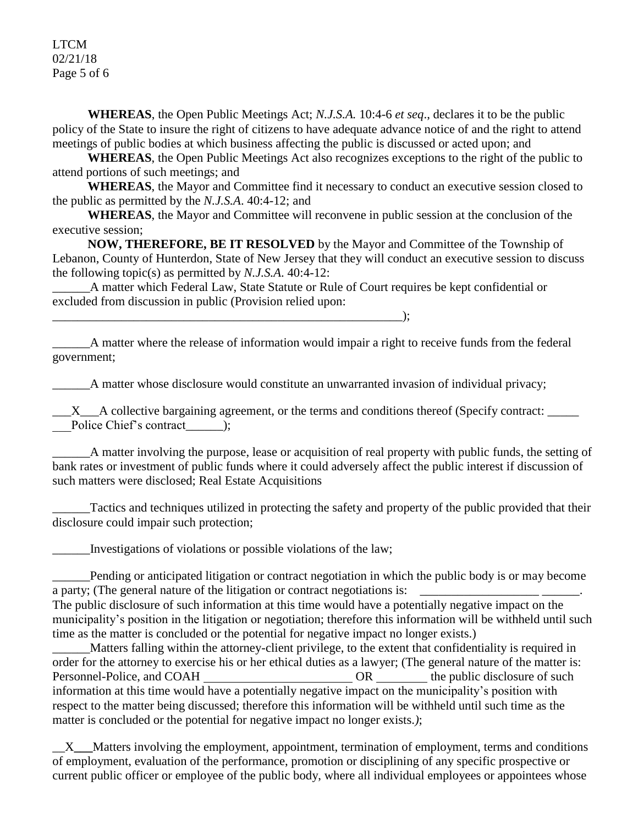LTCM 02/21/18 Page 5 of 6

**WHEREAS**, the Open Public Meetings Act; *N.J.S.A.* 10:4-6 *et seq*., declares it to be the public policy of the State to insure the right of citizens to have adequate advance notice of and the right to attend meetings of public bodies at which business affecting the public is discussed or acted upon; and

**WHEREAS**, the Open Public Meetings Act also recognizes exceptions to the right of the public to attend portions of such meetings; and

**WHEREAS**, the Mayor and Committee find it necessary to conduct an executive session closed to the public as permitted by the *N.J.S.A*. 40:4-12; and

**WHEREAS**, the Mayor and Committee will reconvene in public session at the conclusion of the executive session;

**NOW, THEREFORE, BE IT RESOLVED** by the Mayor and Committee of the Township of Lebanon, County of Hunterdon, State of New Jersey that they will conduct an executive session to discuss the following topic(s) as permitted by *N.J.S.A*. 40:4-12:

\_\_\_\_\_\_A matter which Federal Law, State Statute or Rule of Court requires be kept confidential or excluded from discussion in public (Provision relied upon:

\_\_\_\_\_\_A matter where the release of information would impair a right to receive funds from the federal government;

A matter whose disclosure would constitute an unwarranted invasion of individual privacy;

 $\_X\_A$  collective bargaining agreement, or the terms and conditions thereof (Specify contract: Police Chief's contract (b);

\_\_\_\_\_\_A matter involving the purpose, lease or acquisition of real property with public funds, the setting of bank rates or investment of public funds where it could adversely affect the public interest if discussion of such matters were disclosed; Real Estate Acquisitions

\_\_\_\_\_\_Tactics and techniques utilized in protecting the safety and property of the public provided that their disclosure could impair such protection;

\_\_\_\_\_\_Investigations of violations or possible violations of the law;

\_\_\_\_\_\_\_\_\_\_\_\_\_\_\_\_\_\_\_\_\_\_\_\_\_\_\_\_\_\_\_\_\_\_\_\_\_\_\_\_\_\_\_\_\_\_\_\_\_\_\_\_\_\_\_\_);

\_\_\_\_\_\_Pending or anticipated litigation or contract negotiation in which the public body is or may become a party; (The general nature of the litigation or contract negotiations is: The public disclosure of such information at this time would have a potentially negative impact on the

municipality's position in the litigation or negotiation; therefore this information will be withheld until such time as the matter is concluded or the potential for negative impact no longer exists.)

\_\_\_\_\_\_Matters falling within the attorney-client privilege, to the extent that confidentiality is required in order for the attorney to exercise his or her ethical duties as a lawyer; (The general nature of the matter is: Personnel-Police, and COAH OR the public disclosure of such  $OR$ information at this time would have a potentially negative impact on the municipality's position with respect to the matter being discussed; therefore this information will be withheld until such time as the matter is concluded or the potential for negative impact no longer exists.*)*;

\_\_X**\_\_\_**Matters involving the employment, appointment, termination of employment, terms and conditions of employment, evaluation of the performance, promotion or disciplining of any specific prospective or current public officer or employee of the public body, where all individual employees or appointees whose